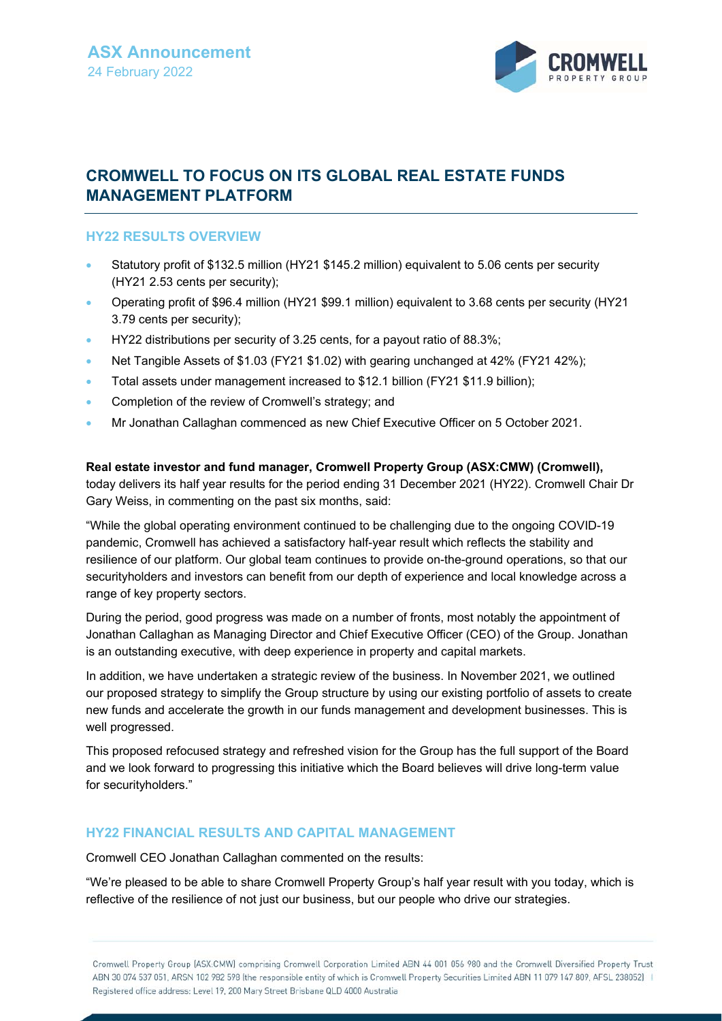

# **CROMWELL TO FOCUS ON ITS GLOBAL REAL ESTATE FUNDS MANAGEMENT PLATFORM**

#### **HY22 RESULTS OVERVIEW**

- Statutory profit of \$132.5 million (HY21 \$145.2 million) equivalent to 5.06 cents per security (HY21 2.53 cents per security);
- Operating profit of \$96.4 million (HY21 \$99.1 million) equivalent to 3.68 cents per security (HY21 3.79 cents per security);
- HY22 distributions per security of 3.25 cents, for a payout ratio of 88.3%;
- Net Tangible Assets of \$1.03 (FY21 \$1.02) with gearing unchanged at 42% (FY21 42%);
- Total assets under management increased to \$12.1 billion (FY21 \$11.9 billion);
- **Completion of the review of Cromwell's strategy; and**
- Mr Jonathan Callaghan commenced as new Chief Executive Officer on 5 October 2021.

**Real estate investor and fund manager, Cromwell Property Group (ASX:CMW) (Cromwell),** today delivers its half year results for the period ending 31 December 2021 (HY22). Cromwell Chair Dr Gary Weiss, in commenting on the past six months, said:

"While the global operating environment continued to be challenging due to the ongoing COVID-19 pandemic, Cromwell has achieved a satisfactory half-year result which reflects the stability and resilience of our platform. Our global team continues to provide on-the-ground operations, so that our securityholders and investors can benefit from our depth of experience and local knowledge across a range of key property sectors.

During the period, good progress was made on a number of fronts, most notably the appointment of Jonathan Callaghan as Managing Director and Chief Executive Officer (CEO) of the Group. Jonathan is an outstanding executive, with deep experience in property and capital markets.

In addition, we have undertaken a strategic review of the business. In November 2021, we outlined our proposed strategy to simplify the Group structure by using our existing portfolio of assets to create new funds and accelerate the growth in our funds management and development businesses. This is well progressed.

This proposed refocused strategy and refreshed vision for the Group has the full support of the Board and we look forward to progressing this initiative which the Board believes will drive long-term value for securityholders."

#### **HY22 FINANCIAL RESULTS AND CAPITAL MANAGEMENT**

Cromwell CEO Jonathan Callaghan commented on the results:

"We're pleased to be able to share Cromwell Property Group's half year result with you today, which is reflective of the resilience of not just our business, but our people who drive our strategies.

Cromwell Property Group [ASX:CMW] comprising Cromwell Corporation Limited ABN 44 001 056 980 and the Cromwell Diversified Property Trust ABN 30 074 537 051, ARSN 102 982 598 (the responsible entity of which is Cromwell Property Securities Limited ABN 11 079 147 809, AFSL 238052) | Registered office address: Level 19, 200 Mary Street Brisbane QLD 4000 Australia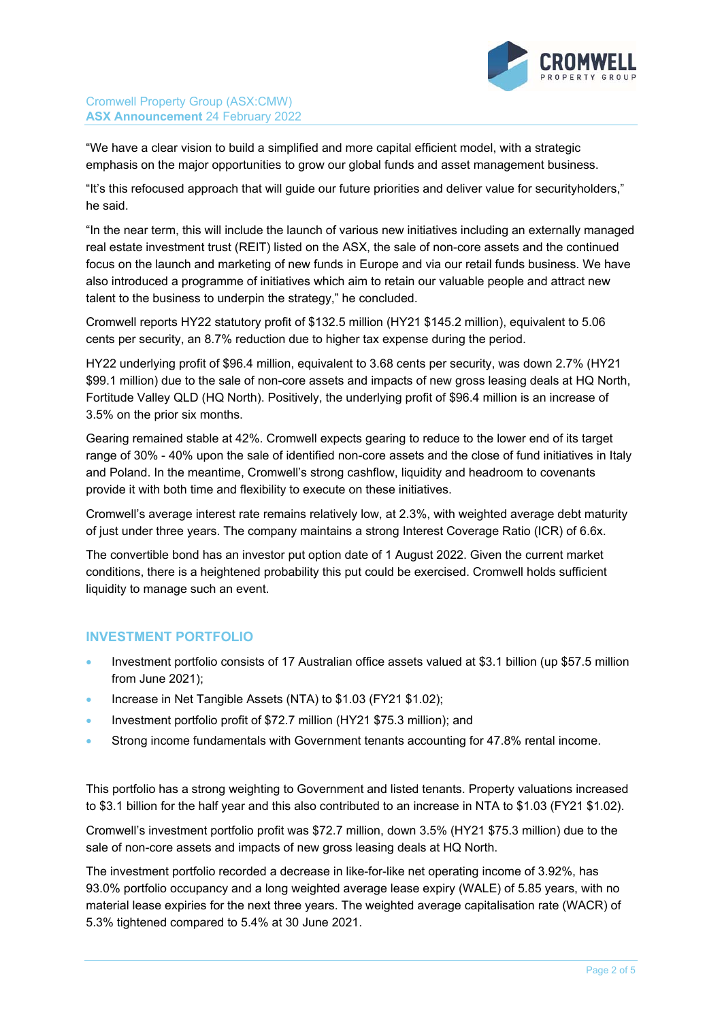

Cromwell Property Group (ASX:CMW) **ASX Announcement** 24 February 2022

"We have a clear vision to build a simplified and more capital efficient model, with a strategic emphasis on the major opportunities to grow our global funds and asset management business.

"It's this refocused approach that will guide our future priorities and deliver value for securityholders," he said.

"In the near term, this will include the launch of various new initiatives including an externally managed real estate investment trust (REIT) listed on the ASX, the sale of non-core assets and the continued focus on the launch and marketing of new funds in Europe and via our retail funds business. We have also introduced a programme of initiatives which aim to retain our valuable people and attract new talent to the business to underpin the strategy," he concluded.

Cromwell reports HY22 statutory profit of \$132.5 million (HY21 \$145.2 million), equivalent to 5.06 cents per security, an 8.7% reduction due to higher tax expense during the period.

HY22 underlying profit of \$96.4 million, equivalent to 3.68 cents per security, was down 2.7% (HY21 \$99.1 million) due to the sale of non-core assets and impacts of new gross leasing deals at HQ North, Fortitude Valley QLD (HQ North). Positively, the underlying profit of \$96.4 million is an increase of 3.5% on the prior six months.

Gearing remained stable at 42%. Cromwell expects gearing to reduce to the lower end of its target range of 30% - 40% upon the sale of identified non-core assets and the close of fund initiatives in Italy and Poland. In the meantime, Cromwell's strong cashflow, liquidity and headroom to covenants provide it with both time and flexibility to execute on these initiatives.

Cromwell's average interest rate remains relatively low, at 2.3%, with weighted average debt maturity of just under three years. The company maintains a strong Interest Coverage Ratio (ICR) of 6.6x.

The convertible bond has an investor put option date of 1 August 2022. Given the current market conditions, there is a heightened probability this put could be exercised. Cromwell holds sufficient liquidity to manage such an event.

#### **INVESTMENT PORTFOLIO**

- Investment portfolio consists of 17 Australian office assets valued at \$3.1 billion (up \$57.5 million from June 2021);
- Increase in Net Tangible Assets (NTA) to \$1.03 (FY21 \$1.02);
- Investment portfolio profit of \$72.7 million (HY21 \$75.3 million); and
- Strong income fundamentals with Government tenants accounting for 47.8% rental income.

This portfolio has a strong weighting to Government and listed tenants. Property valuations increased to \$3.1 billion for the half year and this also contributed to an increase in NTA to \$1.03 (FY21 \$1.02).

Cromwell's investment portfolio profit was \$72.7 million, down 3.5% (HY21 \$75.3 million) due to the sale of non-core assets and impacts of new gross leasing deals at HQ North.

The investment portfolio recorded a decrease in like-for-like net operating income of 3.92%, has 93.0% portfolio occupancy and a long weighted average lease expiry (WALE) of 5.85 years, with no material lease expiries for the next three years. The weighted average capitalisation rate (WACR) of 5.3% tightened compared to 5.4% at 30 June 2021.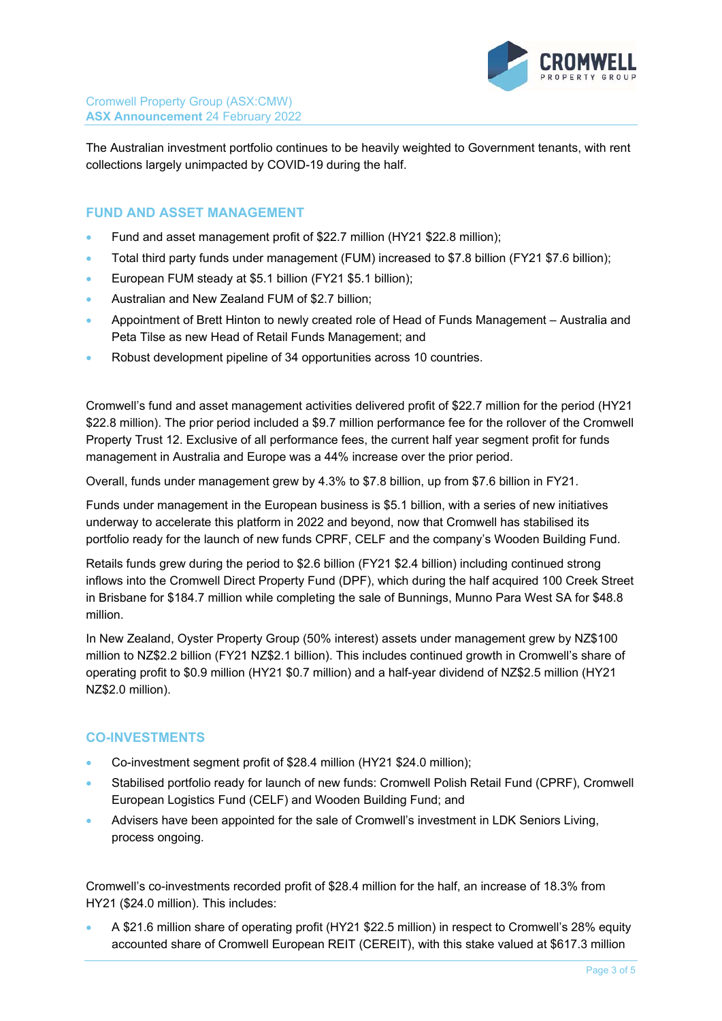

The Australian investment portfolio continues to be heavily weighted to Government tenants, with rent collections largely unimpacted by COVID-19 during the half.

### **FUND AND ASSET MANAGEMENT**

- Fund and asset management profit of \$22.7 million (HY21 \$22.8 million);
- Total third party funds under management (FUM) increased to \$7.8 billion (FY21 \$7.6 billion);
- European FUM steady at \$5.1 billion (FY21 \$5.1 billion);
- Australian and New Zealand FUM of \$2.7 billion;
- Appointment of Brett Hinton to newly created role of Head of Funds Management Australia and Peta Tilse as new Head of Retail Funds Management; and
- Robust development pipeline of 34 opportunities across 10 countries.

Cromwell's fund and asset management activities delivered profit of \$22.7 million for the period (HY21 \$22.8 million). The prior period included a \$9.7 million performance fee for the rollover of the Cromwell Property Trust 12. Exclusive of all performance fees, the current half year segment profit for funds management in Australia and Europe was a 44% increase over the prior period.

Overall, funds under management grew by 4.3% to \$7.8 billion, up from \$7.6 billion in FY21.

Funds under management in the European business is \$5.1 billion, with a series of new initiatives underway to accelerate this platform in 2022 and beyond, now that Cromwell has stabilised its portfolio ready for the launch of new funds CPRF, CELF and the company's Wooden Building Fund.

Retails funds grew during the period to \$2.6 billion (FY21 \$2.4 billion) including continued strong inflows into the Cromwell Direct Property Fund (DPF), which during the half acquired 100 Creek Street in Brisbane for \$184.7 million while completing the sale of Bunnings, Munno Para West SA for \$48.8 million.

In New Zealand, Oyster Property Group (50% interest) assets under management grew by NZ\$100 million to NZ\$2.2 billion (FY21 NZ\$2.1 billion). This includes continued growth in Cromwell's share of operating profit to \$0.9 million (HY21 \$0.7 million) and a half-year dividend of NZ\$2.5 million (HY21 NZ\$2.0 million).

#### **CO-INVESTMENTS**

- Co-investment segment profit of \$28.4 million (HY21 \$24.0 million);
- Stabilised portfolio ready for launch of new funds: Cromwell Polish Retail Fund (CPRF), Cromwell European Logistics Fund (CELF) and Wooden Building Fund; and
- Advisers have been appointed for the sale of Cromwell's investment in LDK Seniors Living, process ongoing.

Cromwell's co-investments recorded profit of \$28.4 million for the half, an increase of 18.3% from HY21 (\$24.0 million). This includes:

 A \$21.6 million share of operating profit (HY21 \$22.5 million) in respect to Cromwell's 28% equity accounted share of Cromwell European REIT (CEREIT), with this stake valued at \$617.3 million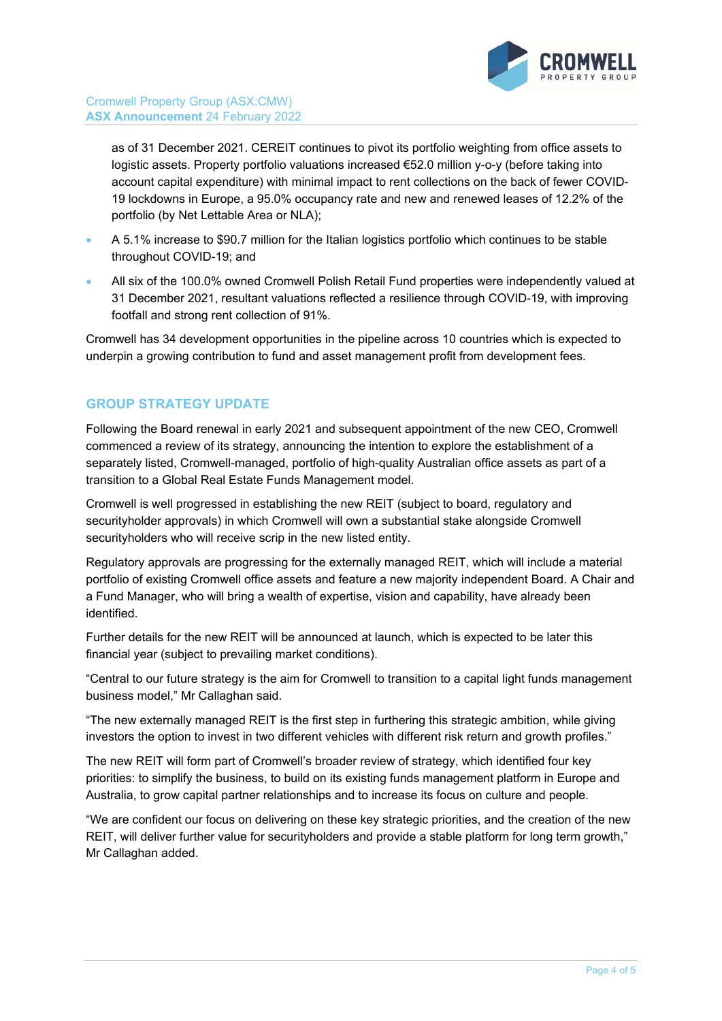

as of 31 December 2021. CEREIT continues to pivot its portfolio weighting from office assets to logistic assets. Property portfolio valuations increased €52.0 million y-o-y (before taking into account capital expenditure) with minimal impact to rent collections on the back of fewer COVID-19 lockdowns in Europe, a 95.0% occupancy rate and new and renewed leases of 12.2% of the portfolio (by Net Lettable Area or NLA);

- A 5.1% increase to \$90.7 million for the Italian logistics portfolio which continues to be stable throughout COVID-19; and
- All six of the 100.0% owned Cromwell Polish Retail Fund properties were independently valued at 31 December 2021, resultant valuations reflected a resilience through COVID-19, with improving footfall and strong rent collection of 91%.

Cromwell has 34 development opportunities in the pipeline across 10 countries which is expected to underpin a growing contribution to fund and asset management profit from development fees.

## **GROUP STRATEGY UPDATE**

Following the Board renewal in early 2021 and subsequent appointment of the new CEO, Cromwell commenced a review of its strategy, announcing the intention to explore the establishment of a separately listed, Cromwell-managed, portfolio of high-quality Australian office assets as part of a transition to a Global Real Estate Funds Management model.

Cromwell is well progressed in establishing the new REIT (subject to board, regulatory and securityholder approvals) in which Cromwell will own a substantial stake alongside Cromwell securityholders who will receive scrip in the new listed entity.

Regulatory approvals are progressing for the externally managed REIT, which will include a material portfolio of existing Cromwell office assets and feature a new majority independent Board. A Chair and a Fund Manager, who will bring a wealth of expertise, vision and capability, have already been identified.

Further details for the new REIT will be announced at launch, which is expected to be later this financial year (subject to prevailing market conditions).

"Central to our future strategy is the aim for Cromwell to transition to a capital light funds management business model," Mr Callaghan said.

"The new externally managed REIT is the first step in furthering this strategic ambition, while giving investors the option to invest in two different vehicles with different risk return and growth profiles."

The new REIT will form part of Cromwell's broader review of strategy, which identified four key priorities: to simplify the business, to build on its existing funds management platform in Europe and Australia, to grow capital partner relationships and to increase its focus on culture and people.

"We are confident our focus on delivering on these key strategic priorities, and the creation of the new REIT, will deliver further value for securityholders and provide a stable platform for long term growth," Mr Callaghan added.